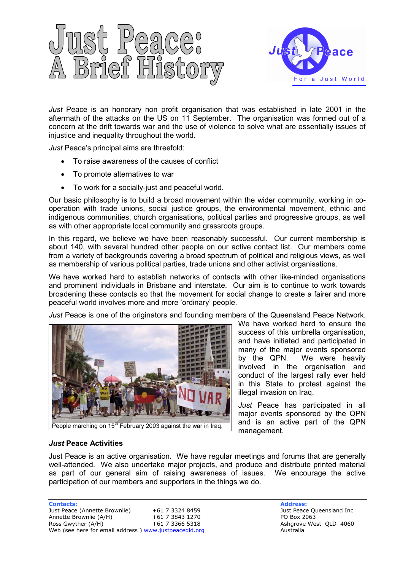



Just Peace is an honorary non profit organisation that was established in late 2001 in the aftermath of the attacks on the US on 11 September. The organisation was formed out of a concern at the drift towards war and the use of violence to solve what are essentially issues of injustice and inequality throughout the world.

Just Peace's principal aims are threefold:

- To raise awareness of the causes of conflict
- To promote alternatives to war
- To work for a socially-just and peaceful world.

Our basic philosophy is to build a broad movement within the wider community, working in cooperation with trade unions, social justice groups, the environmental movement, ethnic and indigenous communities, church organisations, political parties and progressive groups, as well as with other appropriate local community and grassroots groups.

In this regard, we believe we have been reasonably successful. Our current membership is about 140, with several hundred other people on our active contact list. Our members come from a variety of backgrounds covering a broad spectrum of political and religious views, as well as membership of various political parties, trade unions and other activist organisations.

We have worked hard to establish networks of contacts with other like-minded organisations and prominent individuals in Brisbane and interstate. Our aim is to continue to work towards broadening these contacts so that the movement for social change to create a fairer and more peaceful world involves more and more 'ordinary' people.

Just Peace is one of the originators and founding members of the Queensland Peace Network.



We have worked hard to ensure the success of this umbrella organisation, and have initiated and participated in many of the major events sponsored by the QPN. We were heavily involved in the organisation and conduct of the largest rally ever held in this State to protest against the illegal invasion on Iraq.

Just Peace has participated in all major events sponsored by the QPN and is an active part of the QPN management.

## Just Peace Activities

Just Peace is an active organisation. We have regular meetings and forums that are generally well-attended. We also undertake major projects, and produce and distribute printed material as part of our general aim of raising awareness of issues. We encourage the active participation of our members and supporters in the things we do.

**Contacts:** Address: **Address:** Address: **Address: Address: Address: Address: Address: Address: Address: Address: Address: Address: Address: Address: Address: Address: Address: Address: Addr** Just Peace (Annette Brownlie)  $+61$  7 3324 8459 Just Peace Queensland Inc<br>Annette Brownlie (A/H)  $+61$  7 3843 1270 PO Box 2063 Annette Brownlie (A/H)  $+61$  7 3843 1270 PO Box 2063<br>Ross Gwyther (A/H)  $+61$  7 3366 5318 Ashqrove We Web (see here for email address ) www.justpeaceqld.org and a set of the Australia

Ashgrove West QLD 4060